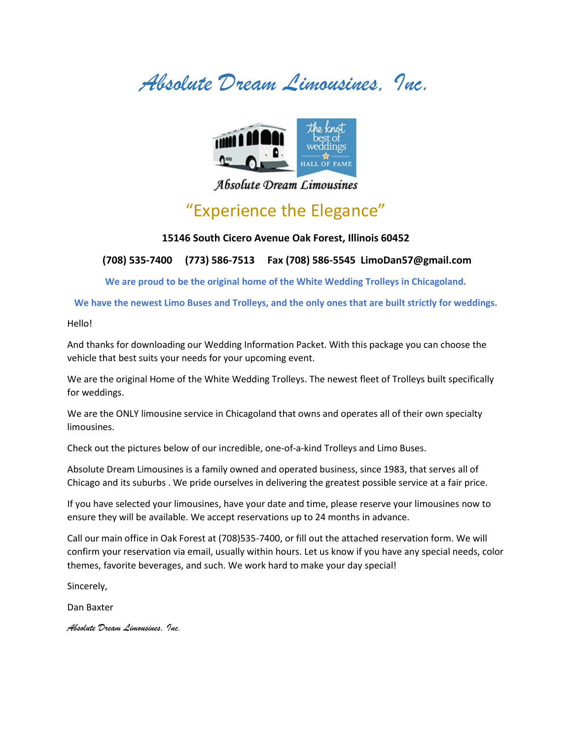*Absolute Dream Limousines, Inc.*



Absolute Dream Limousines

### "Experience the Elegance"

#### **15146 South Cicero Avenue Oak Forest, Illinois 60452**

#### **(708) 535-7400 (773) 586-7513 Fax (708) 586-5545 LimoDan57@gmail.com**

**We are proud to be the original home of the White Wedding Trolleys in Chicagoland.**

**We have the newest Limo Buses and Trolleys, and the only ones that are built strictly for weddings.**

Hello!

And thanks for downloading our Wedding Information Packet. With this package you can choose the vehicle that best suits your needs for your upcoming event.

We are the original Home of the White Wedding Trolleys. The newest fleet of Trolleys built specifically for weddings.

We are the ONLY limousine service in Chicagoland that owns and operates all of their own specialty limousines.

Check out the pictures below of our incredible, one-of-a-kind Trolleys and Limo Buses.

Absolute Dream Limousines is a family owned and operated business, since 1983, that serves all of Chicago and its suburbs . We pride ourselves in delivering the greatest possible service at a fair price.

If you have selected your limousines, have your date and time, please reserve your limousines now to ensure they will be available. We accept reservations up to 24 months in advance.

Call our main office in Oak Forest at (708)535-7400, or fill out the attached reservation form. We will confirm your reservation via email, usually within hours. Let us know if you have any special needs, color themes, favorite beverages, and such. We work hard to make your day special!

Sincerely,

Dan Baxter

*Absolute Dream Limousines, Inc.*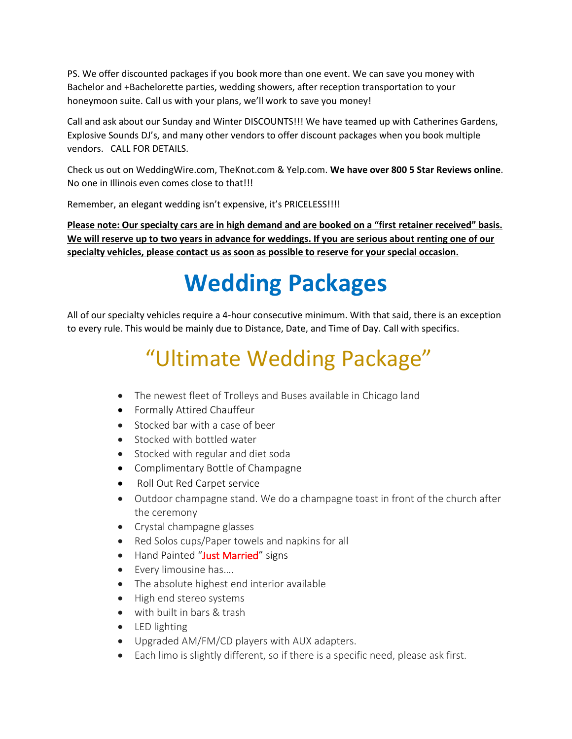PS. We offer discounted packages if you book more than one event. We can save you money with Bachelor and +Bachelorette parties, wedding showers, after reception transportation to your honeymoon suite. Call us with your plans, we'll work to save you money!

Call and ask about our Sunday and Winter DISCOUNTS!!! We have teamed up with Catherines Gardens, Explosive Sounds DJ's, and many other vendors to offer discount packages when you book multiple vendors. CALL FOR DETAILS.

Check us out on WeddingWire.com, TheKnot.com & Yelp.com. **We have over 800 5 Star Reviews online**. No one in Illinois even comes close to that!!!

Remember, an elegant wedding isn't expensive, it's PRICELESS!!!!

**Please note: Our specialty cars are in high demand and are booked on a "first retainer received" basis. We will reserve up to two years in advance for weddings. If you are serious about renting one of our specialty vehicles, please contact us as soon as possible to reserve for your special occasion.**

# **Wedding Packages**

All of our specialty vehicles require a 4-hour consecutive minimum. With that said, there is an exception to every rule. This would be mainly due to Distance, Date, and Time of Day. Call with specifics.

# "Ultimate Wedding Package"

- The newest fleet of Trolleys and Buses available in Chicago land
- Formally Attired Chauffeur
- Stocked bar with a case of beer
- Stocked with bottled water
- Stocked with regular and diet soda
- Complimentary Bottle of Champagne
- Roll Out Red Carpet service
- Outdoor champagne stand. We do a champagne toast in front of the church after the ceremony
- Crystal champagne glasses
- Red Solos cups/Paper towels and napkins for all
- Hand Painted "Just Married" signs
- Every limousine has….
- The absolute highest end interior available
- High end stereo systems
- with built in bars & trash
- LED lighting
- Upgraded AM/FM/CD players with AUX adapters.
- Each limo is slightly different, so if there is a specific need, please ask first.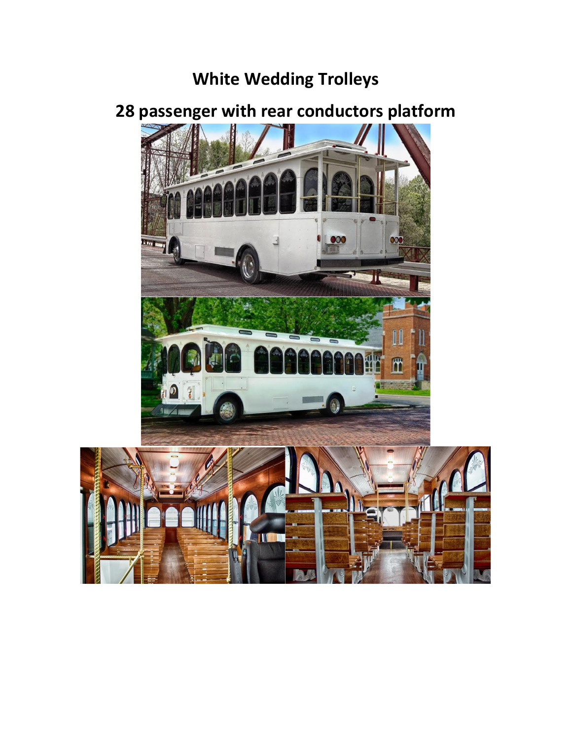## **White Wedding Trolleys**



## **28 passenger with rear conductors platform**

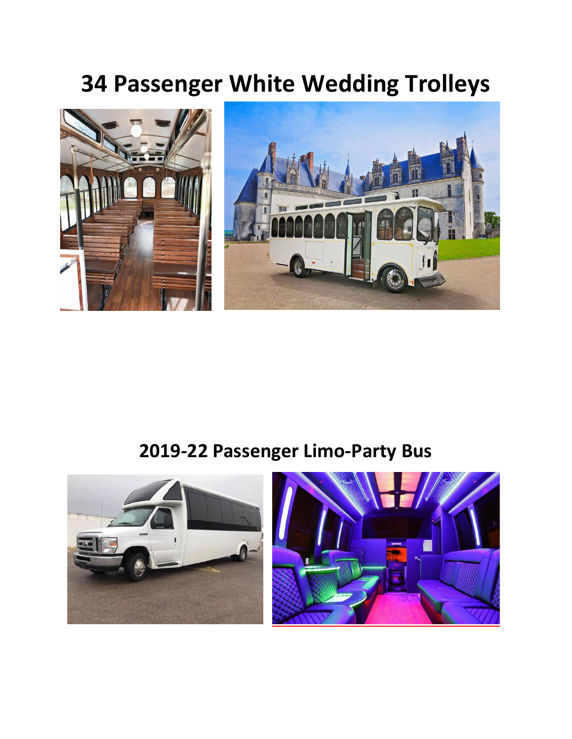## **34 Passenger White Wedding Trolleys**



## **2019-22 Passenger Limo-Party Bus**

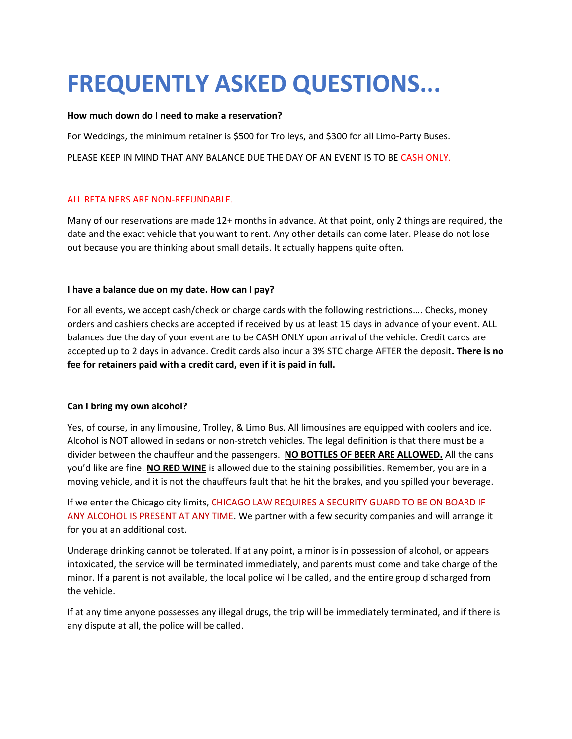# **FREQUENTLY ASKED QUESTIONS...**

#### **How much down do I need to make a reservation?**

For Weddings, the minimum retainer is \$500 for Trolleys, and \$300 for all Limo-Party Buses.

PLEASE KEEP IN MIND THAT ANY BALANCE DUE THE DAY OF AN EVENT IS TO BE CASH ONLY.

#### ALL RETAINERS ARE NON-REFUNDABLE.

Many of our reservations are made 12+ months in advance. At that point, only 2 things are required, the date and the exact vehicle that you want to rent. Any other details can come later. Please do not lose out because you are thinking about small details. It actually happens quite often.

#### **I have a balance due on my date. How can I pay?**

For all events, we accept cash/check or charge cards with the following restrictions…. Checks, money orders and cashiers checks are accepted if received by us at least 15 days in advance of your event. ALL balances due the day of your event are to be CASH ONLY upon arrival of the vehicle. Credit cards are accepted up to 2 days in advance. Credit cards also incur a 3% STC charge AFTER the deposit**. There is no fee for retainers paid with a credit card, even if it is paid in full.**

#### **Can I bring my own alcohol?**

Yes, of course, in any limousine, Trolley, & Limo Bus. All limousines are equipped with coolers and ice. Alcohol is NOT allowed in sedans or non-stretch vehicles. The legal definition is that there must be a divider between the chauffeur and the passengers. **NO BOTTLES OF BEER ARE ALLOWED.** All the cans you'd like are fine. **NO RED WINE** is allowed due to the staining possibilities. Remember, you are in a moving vehicle, and it is not the chauffeurs fault that he hit the brakes, and you spilled your beverage.

If we enter the Chicago city limits, CHICAGO LAW REQUIRES A SECURITY GUARD TO BE ON BOARD IF ANY ALCOHOL IS PRESENT AT ANY TIME. We partner with a few security companies and will arrange it for you at an additional cost.

Underage drinking cannot be tolerated. If at any point, a minor is in possession of alcohol, or appears intoxicated, the service will be terminated immediately, and parents must come and take charge of the minor. If a parent is not available, the local police will be called, and the entire group discharged from the vehicle.

If at any time anyone possesses any illegal drugs, the trip will be immediately terminated, and if there is any dispute at all, the police will be called.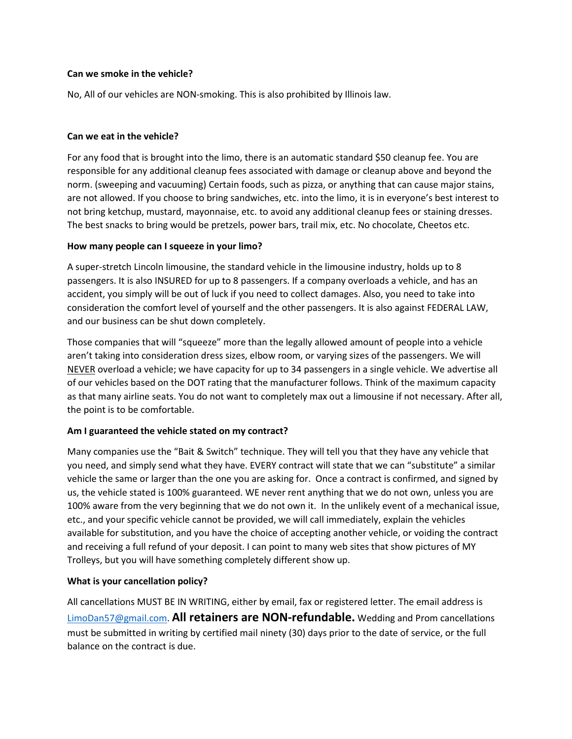#### **Can we smoke in the vehicle?**

No, All of our vehicles are NON-smoking. This is also prohibited by Illinois law.

#### **Can we eat in the vehicle?**

For any food that is brought into the limo, there is an automatic standard \$50 cleanup fee. You are responsible for any additional cleanup fees associated with damage or cleanup above and beyond the norm. (sweeping and vacuuming) Certain foods, such as pizza, or anything that can cause major stains, are not allowed. If you choose to bring sandwiches, etc. into the limo, it is in everyone's best interest to not bring ketchup, mustard, mayonnaise, etc. to avoid any additional cleanup fees or staining dresses. The best snacks to bring would be pretzels, power bars, trail mix, etc. No chocolate, Cheetos etc.

#### **How many people can I squeeze in your limo?**

A super-stretch Lincoln limousine, the standard vehicle in the limousine industry, holds up to 8 passengers. It is also INSURED for up to 8 passengers. If a company overloads a vehicle, and has an accident, you simply will be out of luck if you need to collect damages. Also, you need to take into consideration the comfort level of yourself and the other passengers. It is also against FEDERAL LAW, and our business can be shut down completely.

Those companies that will "squeeze" more than the legally allowed amount of people into a vehicle aren't taking into consideration dress sizes, elbow room, or varying sizes of the passengers. We will NEVER overload a vehicle; we have capacity for up to 34 passengers in a single vehicle. We advertise all of our vehicles based on the DOT rating that the manufacturer follows. Think of the maximum capacity as that many airline seats. You do not want to completely max out a limousine if not necessary. After all, the point is to be comfortable.

#### **Am I guaranteed the vehicle stated on my contract?**

Many companies use the "Bait & Switch" technique. They will tell you that they have any vehicle that you need, and simply send what they have. EVERY contract will state that we can "substitute" a similar vehicle the same or larger than the one you are asking for. Once a contract is confirmed, and signed by us, the vehicle stated is 100% guaranteed. WE never rent anything that we do not own, unless you are 100% aware from the very beginning that we do not own it. In the unlikely event of a mechanical issue, etc., and your specific vehicle cannot be provided, we will call immediately, explain the vehicles available for substitution, and you have the choice of accepting another vehicle, or voiding the contract and receiving a full refund of your deposit. I can point to many web sites that show pictures of MY Trolleys, but you will have something completely different show up.

#### **What is your cancellation policy?**

All cancellations MUST BE IN WRITING, either by email, fax or registered letter. The email address is [LimoDan57@gmail.com.](mailto:LimoDan57@gmail.com) **All retainers are NON-refundable.** Wedding and Prom cancellations must be submitted in writing by certified mail ninety (30) days prior to the date of service, or the full balance on the contract is due.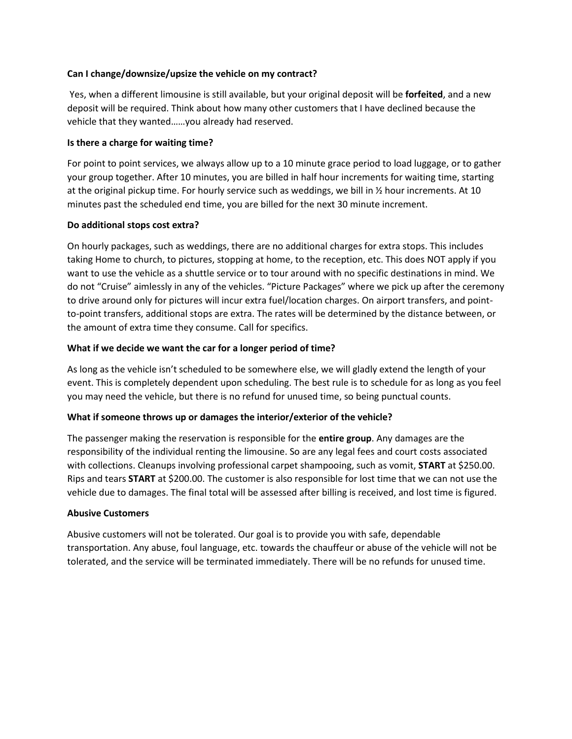#### **Can I change/downsize/upsize the vehicle on my contract?**

Yes, when a different limousine is still available, but your original deposit will be **forfeited**, and a new deposit will be required. Think about how many other customers that I have declined because the vehicle that they wanted……you already had reserved.

#### **Is there a charge for waiting time?**

For point to point services, we always allow up to a 10 minute grace period to load luggage, or to gather your group together. After 10 minutes, you are billed in half hour increments for waiting time, starting at the original pickup time. For hourly service such as weddings, we bill in ½ hour increments. At 10 minutes past the scheduled end time, you are billed for the next 30 minute increment.

#### **Do additional stops cost extra?**

On hourly packages, such as weddings, there are no additional charges for extra stops. This includes taking Home to church, to pictures, stopping at home, to the reception, etc. This does NOT apply if you want to use the vehicle as a shuttle service or to tour around with no specific destinations in mind. We do not "Cruise" aimlessly in any of the vehicles. "Picture Packages" where we pick up after the ceremony to drive around only for pictures will incur extra fuel/location charges. On airport transfers, and pointto-point transfers, additional stops are extra. The rates will be determined by the distance between, or the amount of extra time they consume. Call for specifics.

#### **What if we decide we want the car for a longer period of time?**

As long as the vehicle isn't scheduled to be somewhere else, we will gladly extend the length of your event. This is completely dependent upon scheduling. The best rule is to schedule for as long as you feel you may need the vehicle, but there is no refund for unused time, so being punctual counts.

#### **What if someone throws up or damages the interior/exterior of the vehicle?**

The passenger making the reservation is responsible for the **entire group**. Any damages are the responsibility of the individual renting the limousine. So are any legal fees and court costs associated with collections. Cleanups involving professional carpet shampooing, such as vomit, **START** at \$250.00. Rips and tears **START** at \$200.00. The customer is also responsible for lost time that we can not use the vehicle due to damages. The final total will be assessed after billing is received, and lost time is figured.

#### **Abusive Customers**

Abusive customers will not be tolerated. Our goal is to provide you with safe, dependable transportation. Any abuse, foul language, etc. towards the chauffeur or abuse of the vehicle will not be tolerated, and the service will be terminated immediately. There will be no refunds for unused time.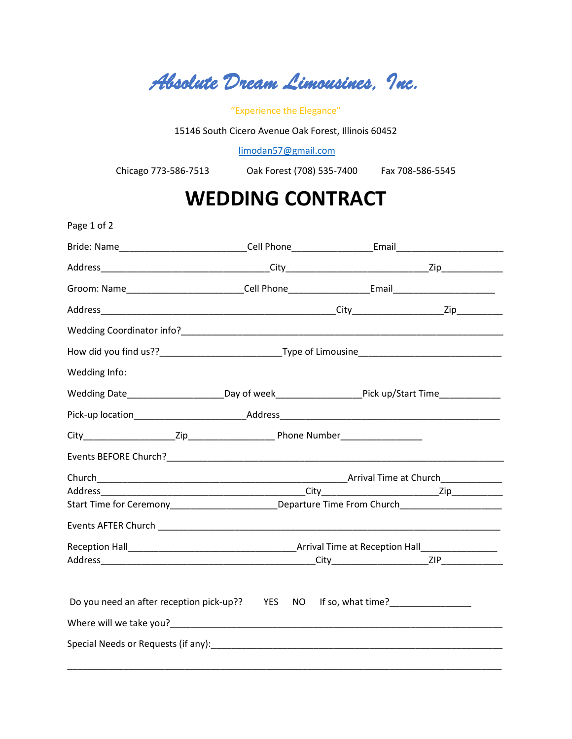*Absolute Dream Limousines, Inc.* 

"Experience the Elegance"

15146 South Cicero Avenue Oak Forest, Illinois 60452

[limodan57@gmail.com](mailto:limodan57@gmail.com)

Chicago 773-586-7513 Oak Forest (708) 535-7400 Fax 708-586-5545

## **WEDDING CONTRACT**

| Page 1 of 2                                                                                          |  |  |  |
|------------------------------------------------------------------------------------------------------|--|--|--|
| Bride: Name_______________________________Cell Phone_____________________Email______________________ |  |  |  |
|                                                                                                      |  |  |  |
| Groom: Name_____________________________Cell Phone____________________Email_________________________ |  |  |  |
|                                                                                                      |  |  |  |
|                                                                                                      |  |  |  |
|                                                                                                      |  |  |  |
| Wedding Info:                                                                                        |  |  |  |
| Wedding Date_________________________Day of week_______________________Pick up/Start Time___________ |  |  |  |
|                                                                                                      |  |  |  |
|                                                                                                      |  |  |  |
|                                                                                                      |  |  |  |
|                                                                                                      |  |  |  |
|                                                                                                      |  |  |  |
| Start Time for Ceremony_________________________Departure Time From Church_________________________  |  |  |  |
|                                                                                                      |  |  |  |
|                                                                                                      |  |  |  |
|                                                                                                      |  |  |  |
|                                                                                                      |  |  |  |
|                                                                                                      |  |  |  |
|                                                                                                      |  |  |  |
|                                                                                                      |  |  |  |
|                                                                                                      |  |  |  |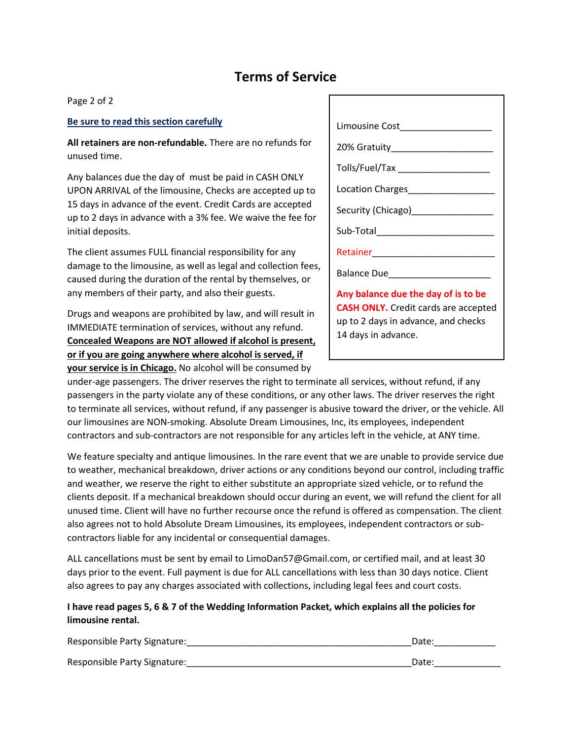### **Terms of Service**

Page 2 of 2

#### **Be sure to read this section carefully**

**All retainers are non-refundable.** There are no refunds for unused time.

Any balances due the day of must be paid in CASH ONLY UPON ARRIVAL of the limousine, Checks are accepted up to 15 days in advance of the event. Credit Cards are accepted up to 2 days in advance with a 3% fee. We waive the fee for initial deposits.

The client assumes FULL financial responsibility for any damage to the limousine, as well as legal and collection fees, caused during the duration of the rental by themselves, or any members of their party, and also their guests.

Drugs and weapons are prohibited by law, and will result in IMMEDIATE termination of services, without any refund. **Concealed Weapons are NOT allowed if alcohol is present, or if you are going anywhere where alcohol is served, if your service is in Chicago.** No alcohol will be consumed by

| Limousine Cost_____________________                                                                                                              |
|--------------------------------------------------------------------------------------------------------------------------------------------------|
|                                                                                                                                                  |
| Tolls/Fuel/Tax _____________________                                                                                                             |
| Location Charges__________________                                                                                                               |
| Security (Chicago)<br><u> and Chicago</u>                                                                                                        |
| Sub-Total and the contract of the contract of the contract of the contract of the contract of the contract of                                    |
|                                                                                                                                                  |
|                                                                                                                                                  |
| Any balance due the day of is to be<br><b>CASH ONLY.</b> Credit cards are accepted<br>up to 2 days in advance, and checks<br>14 days in advance. |

under-age passengers. The driver reserves the right to terminate all services, without refund, if any passengers in the party violate any of these conditions, or any other laws. The driver reserves the right to terminate all services, without refund, if any passenger is abusive toward the driver, or the vehicle. All our limousines are NON-smoking. Absolute Dream Limousines, Inc, its employees, independent contractors and sub-contractors are not responsible for any articles left in the vehicle, at ANY time.

We feature specialty and antique limousines. In the rare event that we are unable to provide service due to weather, mechanical breakdown, driver actions or any conditions beyond our control, including traffic and weather, we reserve the right to either substitute an appropriate sized vehicle, or to refund the clients deposit. If a mechanical breakdown should occur during an event, we will refund the client for all unused time. Client will have no further recourse once the refund is offered as compensation. The client also agrees not to hold Absolute Dream Limousines, its employees, independent contractors or subcontractors liable for any incidental or consequential damages.

ALL cancellations must be sent by email to LimoDan57@Gmail.com, or certified mail, and at least 30 days prior to the event. Full payment is due for ALL cancellations with less than 30 days notice. Client also agrees to pay any charges associated with collections, including legal fees and court costs.

#### **I have read pages 5, 6 & 7 of the Wedding Information Packet, which explains all the policies for limousine rental.**

| Responsible Party Signature: | Date: |
|------------------------------|-------|
| Responsible Party Signature: | Date: |